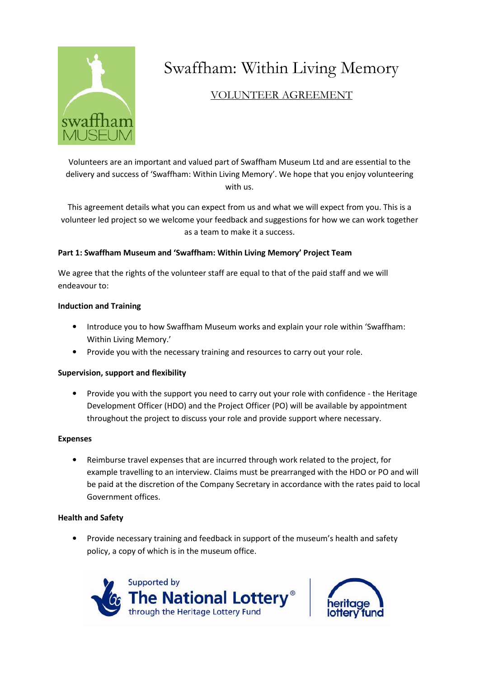

# Swaffham: Within Living Memory

# VOLUNTEER AGREEMENT

Volunteers are an important and valued part of Swaffham Museum Ltd and are essential to the delivery and success of 'Swaffham: Within Living Memory'. We hope that you enjoy volunteering with us.

This agreement details what you can expect from us and what we will expect from you. This is a volunteer led project so we welcome your feedback and suggestions for how we can work together as a team to make it a success.

# Part 1: Swaffham Museum and 'Swaffham: Within Living Memory' Project Team

We agree that the rights of the volunteer staff are equal to that of the paid staff and we will endeavour to:

# Induction and Training

- Introduce you to how Swaffham Museum works and explain your role within 'Swaffham: Within Living Memory.'
- Provide you with the necessary training and resources to carry out your role.

# Supervision, support and flexibility

• Provide you with the support you need to carry out your role with confidence - the Heritage Development Officer (HDO) and the Project Officer (PO) will be available by appointment throughout the project to discuss your role and provide support where necessary.

#### Expenses

• Reimburse travel expenses that are incurred through work related to the project, for example travelling to an interview. Claims must be prearranged with the HDO or PO and will be paid at the discretion of the Company Secretary in accordance with the rates paid to local Government offices.

# Health and Safety

• Provide necessary training and feedback in support of the museum's health and safety policy, a copy of which is in the museum office.